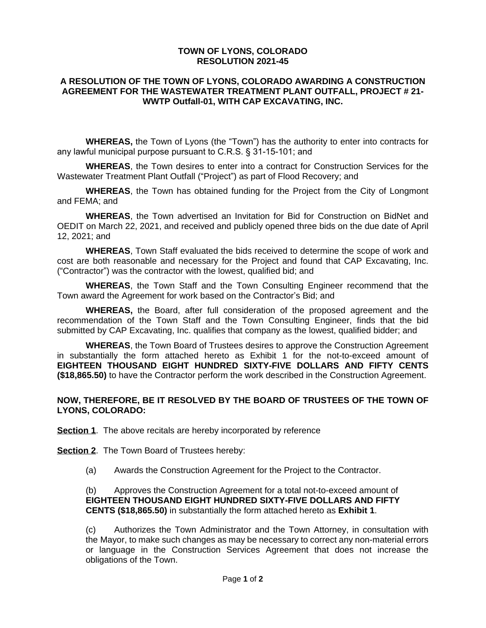## **TOWN OF LYONS, COLORADO RESOLUTION 2021-45**

## **A RESOLUTION OF THE TOWN OF LYONS, COLORADO AWARDING A CONSTRUCTION AGREEMENT FOR THE WASTEWATER TREATMENT PLANT OUTFALL, PROJECT # 21- WWTP Outfall-01, WITH CAP EXCAVATING, INC.**

**WHEREAS,** the Town of Lyons (the "Town") has the authority to enter into contracts for any lawful municipal purpose pursuant to C.R.S. § 31-15-101; and

**WHEREAS**, the Town desires to enter into a contract for Construction Services for the Wastewater Treatment Plant Outfall ("Project") as part of Flood Recovery; and

**WHEREAS**, the Town has obtained funding for the Project from the City of Longmont and FEMA; and

**WHEREAS**, the Town advertised an Invitation for Bid for Construction on BidNet and OEDIT on March 22, 2021, and received and publicly opened three bids on the due date of April 12, 2021; and

**WHEREAS**, Town Staff evaluated the bids received to determine the scope of work and cost are both reasonable and necessary for the Project and found that CAP Excavating, Inc. ("Contractor") was the contractor with the lowest, qualified bid; and

**WHEREAS**, the Town Staff and the Town Consulting Engineer recommend that the Town award the Agreement for work based on the Contractor's Bid; and

**WHEREAS,** the Board, after full consideration of the proposed agreement and the recommendation of the Town Staff and the Town Consulting Engineer, finds that the bid submitted by CAP Excavating, Inc. qualifies that company as the lowest, qualified bidder; and

**WHEREAS**, the Town Board of Trustees desires to approve the Construction Agreement in substantially the form attached hereto as Exhibit 1 for the not-to-exceed amount of **EIGHTEEN THOUSAND EIGHT HUNDRED SIXTY-FIVE DOLLARS AND FIFTY CENTS (\$18,865.50)** to have the Contractor perform the work described in the Construction Agreement.

## **NOW, THEREFORE, BE IT RESOLVED BY THE BOARD OF TRUSTEES OF THE TOWN OF LYONS, COLORADO:**

**Section 1.** The above recitals are hereby incorporated by reference

**Section 2**. The Town Board of Trustees hereby:

(a) Awards the Construction Agreement for the Project to the Contractor.

(b) Approves the Construction Agreement for a total not-to-exceed amount of **EIGHTEEN THOUSAND EIGHT HUNDRED SIXTY-FIVE DOLLARS AND FIFTY CENTS (\$18,865.50)** in substantially the form attached hereto as **Exhibit 1**.

(c) Authorizes the Town Administrator and the Town Attorney, in consultation with the Mayor, to make such changes as may be necessary to correct any non-material errors or language in the Construction Services Agreement that does not increase the obligations of the Town.